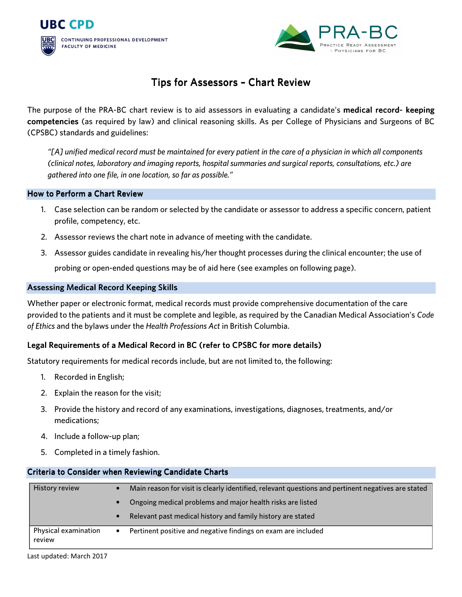



# Tips for Assessors - Chart Review

The purpose of the PRA-BC chart review is to aid assessors in evaluating a candidate's medical record- keeping competencies (as required by law) and clinical reasoning skills. As per College of Physicians and Surgeons of BC (CPSBC) standards and guidelines:

*"[A] unified medical record must be maintained for every patient in the care of a physician in which all components (clinical notes, laboratory and imaging reports, hospital summaries and surgical reports, consultations, etc.) are gathered into one file, in one location, so far as possible."* 

#### How to Perform a Chart Review

- 1. Case selection can be random or selected by the candidate or assessor to address a specific concern, patient profile, competency, etc.
- 2. Assessor reviews the chart note in advance of meeting with the candidate.
- 3. Assessor guides candidate in revealing his/her thought processes during the clinical encounter; the use of probing or open-ended questions may be of aid here (see examples on following page).

## Assessing Medical Record Keeping Skills

Whether paper or electronic format, medical records must provide comprehensive documentation of the care provided to the patients and it must be complete and legible, as required by the Canadian Medical Association's *Code of Ethics* and the bylaws under the *Health Professions Act* in British Columbia.

## Legal Requirements of a Medical Record in BC (refer to CPSBC for more details)

Statutory requirements for medical records include, but are not limited to, the following:

- 1. Recorded in English;
- 2. Explain the reason for the visit;
- 3. Provide the history and record of any examinations, investigations, diagnoses, treatments, and/or medications;
- 4. Include a follow-up plan;
- 5. Completed in a timely fashion.

## Criteria to Consider when Reviewing Candidate Charts

| History review                 | $\bullet$ | Main reason for visit is clearly identified, relevant questions and pertinent negatives are stated |
|--------------------------------|-----------|----------------------------------------------------------------------------------------------------|
|                                | $\bullet$ | Ongoing medical problems and major health risks are listed                                         |
|                                | $\bullet$ | Relevant past medical history and family history are stated                                        |
| Physical examination<br>review | $\bullet$ | Pertinent positive and negative findings on exam are included                                      |